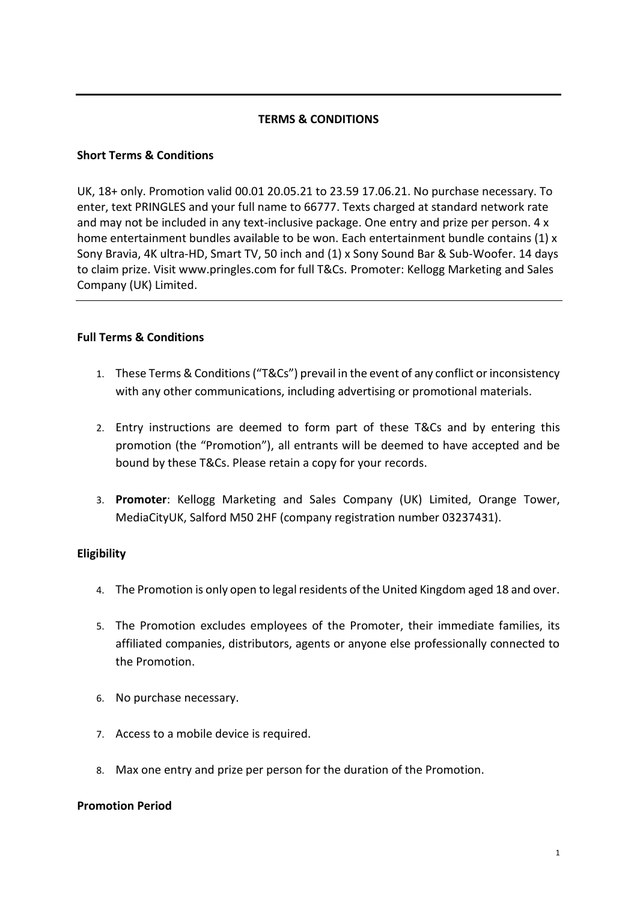### **TERMS & CONDITIONS**

### **Short Terms & Conditions**

UK, 18+ only. Promotion valid 00.01 20.05.21 to 23.59 17.06.21. No purchase necessary. To enter, text PRINGLES and your full name to 66777. Texts charged at standard network rate and may not be included in any text-inclusive package. One entry and prize per person. 4 x home entertainment bundles available to be won. Each entertainment bundle contains  $(1)$  x Sony Bravia, 4K ultra-HD, Smart TV, 50 inch and (1) x Sony Sound Bar & Sub-Woofer. 14 days to claim prize. Visit www.pringles.com for full T&Cs. Promoter: Kellogg Marketing and Sales Company (UK) Limited.

### **Full Terms & Conditions**

- 1. These Terms & Conditions ("T&Cs") prevail in the event of any conflict or inconsistency with any other communications, including advertising or promotional materials.
- 2. Entry instructions are deemed to form part of these T&Cs and by entering this promotion (the "Promotion"), all entrants will be deemed to have accepted and be bound by these T&Cs. Please retain a copy for your records.
- 3. **Promoter**: Kellogg Marketing and Sales Company (UK) Limited, Orange Tower, MediaCityUK, Salford M50 2HF (company registration number 03237431).

# **Eligibility**

- 4. The Promotion is only open to legal residents of the United Kingdom aged 18 and over.
- 5. The Promotion excludes employees of the Promoter, their immediate families, its affiliated companies, distributors, agents or anyone else professionally connected to the Promotion.
- 6. No purchase necessary.
- 7. Access to a mobile device is required.
- 8. Max one entry and prize per person for the duration of the Promotion.

#### **Promotion Period**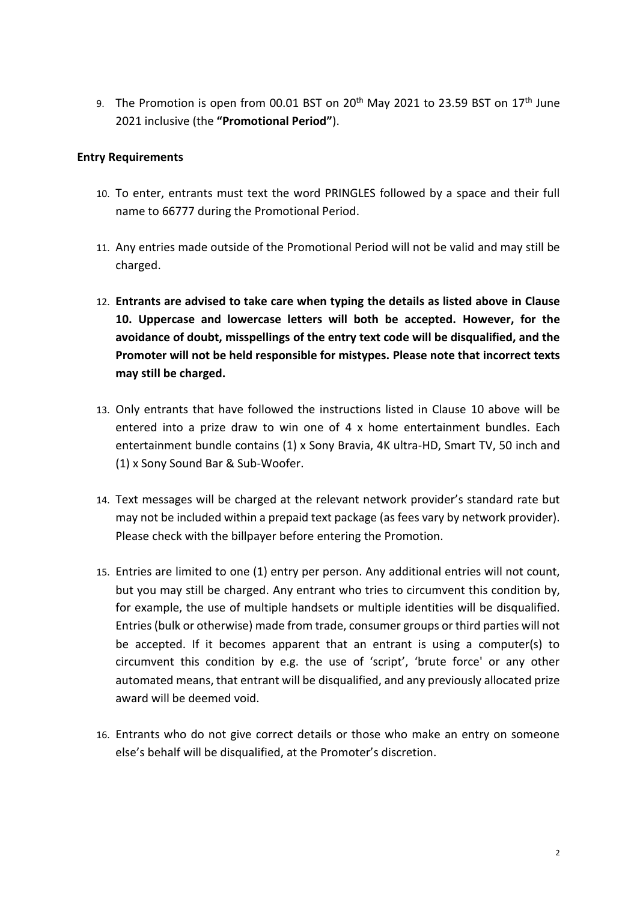9. The Promotion is open from 00.01 BST on 20<sup>th</sup> May 2021 to 23.59 BST on 17<sup>th</sup> June 2021 inclusive (the **"Promotional Period"**).

### **Entry Requirements**

- 10. To enter, entrants must text the word PRINGLES followed by a space and their full name to 66777 during the Promotional Period.
- 11. Any entries made outside of the Promotional Period will not be valid and may still be charged.
- 12. **Entrants are advised to take care when typing the details as listed above in Clause 10. Uppercase and lowercase letters will both be accepted. However, for the avoidance of doubt, misspellings of the entry text code will be disqualified, and the Promoter will not be held responsible for mistypes. Please note that incorrect texts may still be charged.**
- 13. Only entrants that have followed the instructions listed in Clause 10 above will be entered into a prize draw to win one of 4 x home entertainment bundles. Each entertainment bundle contains (1) x Sony Bravia, 4K ultra-HD, Smart TV, 50 inch and (1) x Sony Sound Bar & Sub-Woofer.
- 14. Text messages will be charged at the relevant network provider's standard rate but may not be included within a prepaid text package (as fees vary by network provider). Please check with the billpayer before entering the Promotion.
- 15. Entries are limited to one (1) entry per person. Any additional entries will not count, but you may still be charged. Any entrant who tries to circumvent this condition by, for example, the use of multiple handsets or multiple identities will be disqualified. Entries (bulk or otherwise) made from trade, consumer groups or third parties will not be accepted. If it becomes apparent that an entrant is using a computer(s) to circumvent this condition by e.g. the use of 'script', 'brute force' or any other automated means, that entrant will be disqualified, and any previously allocated prize award will be deemed void.
- 16. Entrants who do not give correct details or those who make an entry on someone else's behalf will be disqualified, at the Promoter's discretion.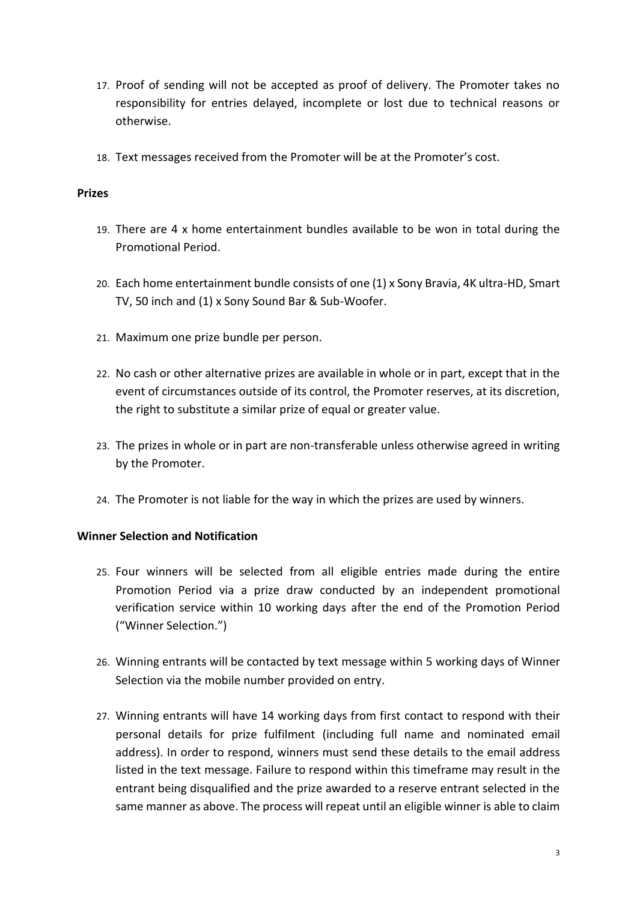- 17. Proof of sending will not be accepted as proof of delivery. The Promoter takes no responsibility for entries delayed, incomplete or lost due to technical reasons or otherwise.
- 18. Text messages received from the Promoter will be at the Promoter's cost.

#### **Prizes**

- 19. There are 4 x home entertainment bundles available to be won in total during the Promotional Period.
- 20. Each home entertainment bundle consists of one (1) x Sony Bravia, 4K ultra-HD, Smart TV, 50 inch and (1) x Sony Sound Bar & Sub-Woofer.
- 21. Maximum one prize bundle per person.
- 22. No cash or other alternative prizes are available in whole or in part, except that in the event of circumstances outside of its control, the Promoter reserves, at its discretion, the right to substitute a similar prize of equal or greater value.
- 23. The prizes in whole or in part are non-transferable unless otherwise agreed in writing by the Promoter.
- 24. The Promoter is not liable for the way in which the prizes are used by winners.

# **Winner Selection and Notification**

- 25. Four winners will be selected from all eligible entries made during the entire Promotion Period via a prize draw conducted by an independent promotional verification service within 10 working days after the end of the Promotion Period ("Winner Selection.")
- 26. Winning entrants will be contacted by text message within 5 working days of Winner Selection via the mobile number provided on entry.
- 27. Winning entrants will have 14 working days from first contact to respond with their personal details for prize fulfilment (including full name and nominated email address). In order to respond, winners must send these details to the email address listed in the text message. Failure to respond within this timeframe may result in the entrant being disqualified and the prize awarded to a reserve entrant selected in the same manner as above. The process will repeat until an eligible winner is able to claim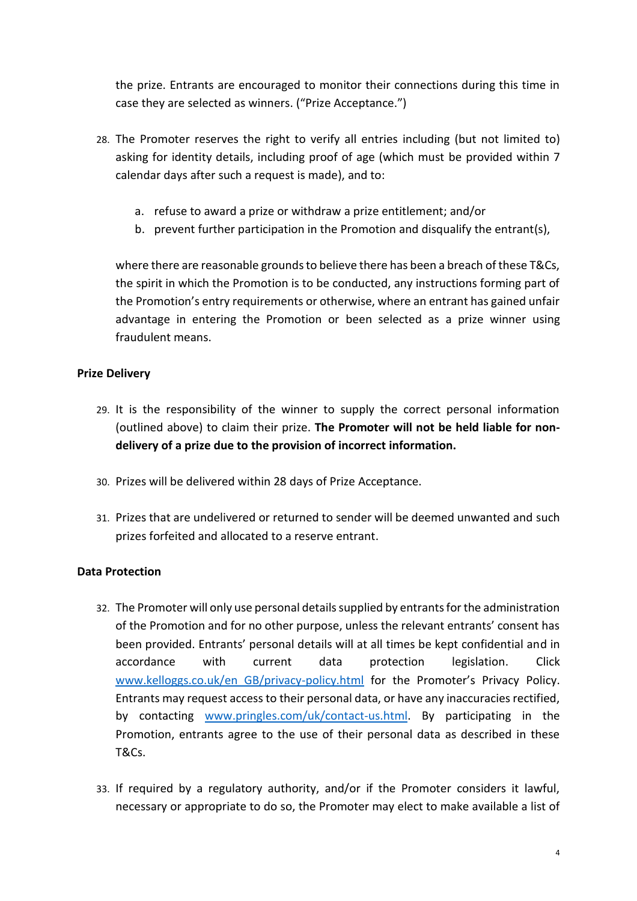the prize. Entrants are encouraged to monitor their connections during this time in case they are selected as winners. ("Prize Acceptance.")

- 28. The Promoter reserves the right to verify all entries including (but not limited to) asking for identity details, including proof of age (which must be provided within 7 calendar days after such a request is made), and to:
	- a. refuse to award a prize or withdraw a prize entitlement; and/or
	- b. prevent further participation in the Promotion and disqualify the entrant(s),

where there are reasonable grounds to believe there has been a breach of these T&Cs, the spirit in which the Promotion is to be conducted, any instructions forming part of the Promotion's entry requirements or otherwise, where an entrant has gained unfair advantage in entering the Promotion or been selected as a prize winner using fraudulent means.

# **Prize Delivery**

- 29. It is the responsibility of the winner to supply the correct personal information (outlined above) to claim their prize. **The Promoter will not be held liable for nondelivery of a prize due to the provision of incorrect information.**
- 30. Prizes will be delivered within 28 days of Prize Acceptance.
- 31. Prizes that are undelivered or returned to sender will be deemed unwanted and such prizes forfeited and allocated to a reserve entrant.

# **Data Protection**

- 32. The Promoter will only use personal details supplied by entrants for the administration of the Promotion and for no other purpose, unless the relevant entrants' consent has been provided. Entrants' personal details will at all times be kept confidential and in accordance with current data protection legislation. Click [www.kelloggs.co.uk/en\\_GB/privacy-policy.html](http://www.kelloggs.co.uk/en_GB/privacy-policy.html) for the Promoter's Privacy Policy. Entrants may request access to their personal data, or have any inaccuracies rectified, by contacting [www.pringles.com/uk/contact-us.html.](http://www.pringles.com/uk/contact-us.html) By participating in the Promotion, entrants agree to the use of their personal data as described in these T&Cs.
- 33. If required by a regulatory authority, and/or if the Promoter considers it lawful, necessary or appropriate to do so, the Promoter may elect to make available a list of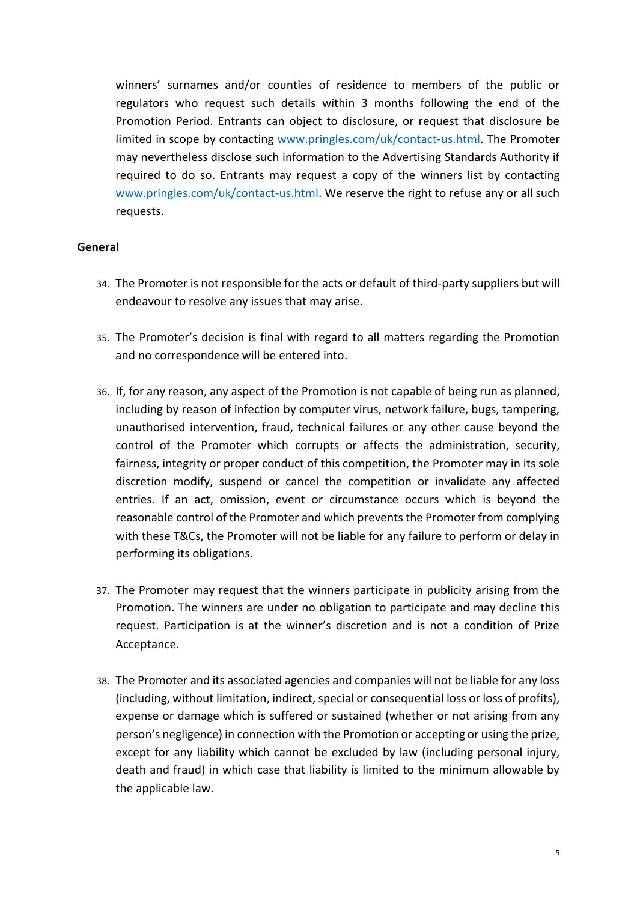winners' surnames and/or counties of residence to members of the public or regulators who request such details within 3 months following the end of the Promotion Period. Entrants can object to disclosure, or request that disclosure be limited in scope by contacting [www.pringles.com/uk/contact-us.html.](http://www.pringles.com/uk/contact-us.html) The Promoter may nevertheless disclose such information to the Advertising Standards Authority if required to do so. Entrants may request a copy of the winners list by contacting [www.pringles.com/uk/contact-us.html.](https://www.pringles.com/uk/contact-us.html) We reserve the right to refuse any or all such requests.

#### **General**

- 34. The Promoter is not responsible for the acts or default of third-party suppliers but will endeavour to resolve any issues that may arise.
- 35. The Promoter's decision is final with regard to all matters regarding the Promotion and no correspondence will be entered into.
- 36. If, for any reason, any aspect of the Promotion is not capable of being run as planned, including by reason of infection by computer virus, network failure, bugs, tampering, unauthorised intervention, fraud, technical failures or any other cause beyond the control of the Promoter which corrupts or affects the administration, security, fairness, integrity or proper conduct of this competition, the Promoter may in its sole discretion modify, suspend or cancel the competition or invalidate any affected entries. If an act, omission, event or circumstance occurs which is beyond the reasonable control of the Promoter and which prevents the Promoter from complying with these T&Cs, the Promoter will not be liable for any failure to perform or delay in performing its obligations.
- 37. The Promoter may request that the winners participate in publicity arising from the Promotion. The winners are under no obligation to participate and may decline this request. Participation is at the winner's discretion and is not a condition of Prize Acceptance.
- 38. The Promoter and its associated agencies and companies will not be liable for any loss (including, without limitation, indirect, special or consequential loss or loss of profits), expense or damage which is suffered or sustained (whether or not arising from any person's negligence) in connection with the Promotion or accepting or using the prize, except for any liability which cannot be excluded by law (including personal injury, death and fraud) in which case that liability is limited to the minimum allowable by the applicable law.